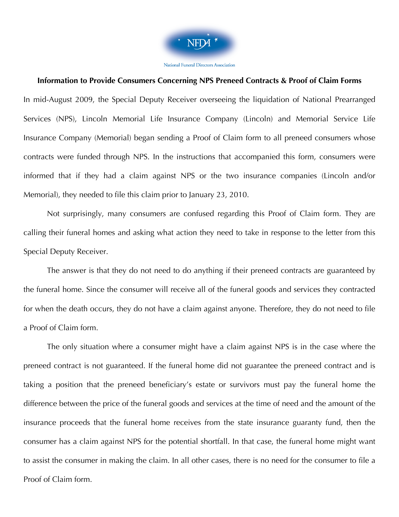

National Funeral Directors Association

#### **Information to Provide Consumers Concerning NPS Preneed Contracts & Proof of Claim Forms**

In mid-August 2009, the Special Deputy Receiver overseeing the liquidation of National Prearranged Services (NPS), Lincoln Memorial Life Insurance Company (Lincoln) and Memorial Service Life Insurance Company (Memorial) began sending a Proof of Claim form to all preneed consumers whose contracts were funded through NPS. In the instructions that accompanied this form, consumers were informed that if they had a claim against NPS or the two insurance companies (Lincoln and/or Memorial), they needed to file this claim prior to January 23, 2010.

Not surprisingly, many consumers are confused regarding this Proof of Claim form. They are calling their funeral homes and asking what action they need to take in response to the letter from this Special Deputy Receiver.

The answer is that they do not need to do anything if their preneed contracts are guaranteed by the funeral home. Since the consumer will receive all of the funeral goods and services they contracted for when the death occurs, they do not have a claim against anyone. Therefore, they do not need to file a Proof of Claim form.

The only situation where a consumer might have a claim against NPS is in the case where the preneed contract is not guaranteed. If the funeral home did not guarantee the preneed contract and is taking a position that the preneed beneficiary's estate or survivors must pay the funeral home the difference between the price of the funeral goods and services at the time of need and the amount of the insurance proceeds that the funeral home receives from the state insurance guaranty fund, then the consumer has a claim against NPS for the potential shortfall. In that case, the funeral home might want to assist the consumer in making the claim. In all other cases, there is no need for the consumer to file a Proof of Claim form.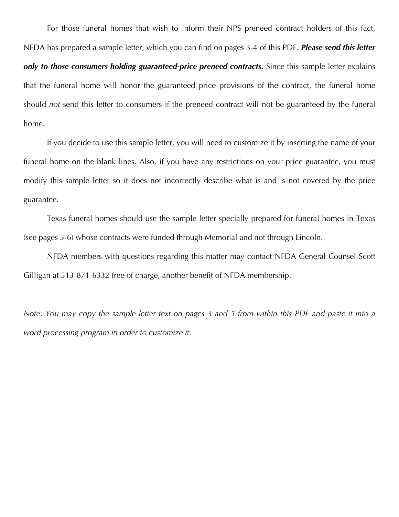For those funeral homes that wish to inform their NPS preneed contract holders of this fact, NFDA has prepared a sample letter, which you can find on pages 3-4 of this PDF. *Please send this letter only to those consumers holding guaranteed-price preneed contracts.* Since this sample letter explains that the funeral home will honor the guaranteed price provisions of the contract, the funeral home should *not* send this letter to consumers if the preneed contract will not be guaranteed by the funeral home.

If you decide to use this sample letter, you will need to customize it by inserting the name of your funeral home on the blank lines. Also, if you have any restrictions on your price guarantee, you must modify this sample letter so it does not incorrectly describe what is and is not covered by the price guarantee.

Texas funeral homes should use the sample letter specially prepared for funeral homes in Texas (see pages 5-6) whose contracts were funded through Memorial and not through Lincoln.

NFDA members with questions regarding this matter may contact NFDA General Counsel Scott Gilligan at 513-871-6332 free of charge, another benefit of NFDA membership.

*Note: You may copy the sample letter text on pages 3 and 5 from within this PDF and paste it into a word processing program in order to customize it.*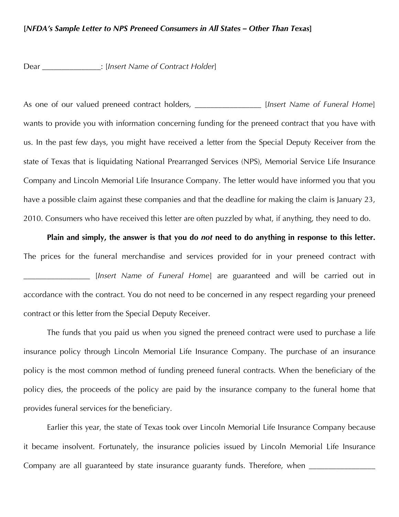### **[***NFDA's Sample Letter to NPS Preneed Consumers in All States – Other Than Texas***]**

Dear \_\_\_\_\_\_\_\_\_\_\_\_\_\_\_: [*Insert Name of Contract Holder*]

As one of our valued preneed contract holders, **As a struggler in the** *IInsert Name of Funeral Home*] wants to provide you with information concerning funding for the preneed contract that you have with us. In the past few days, you might have received a letter from the Special Deputy Receiver from the state of Texas that is liquidating National Prearranged Services (NPS), Memorial Service Life Insurance Company and Lincoln Memorial Life Insurance Company. The letter would have informed you that you have a possible claim against these companies and that the deadline for making the claim is January 23, 2010. Consumers who have received this letter are often puzzled by what, if anything, they need to do.

**Plain and simply, the answer is that you do** *not* **need to do anything in response to this letter.**  The prices for the funeral merchandise and services provided for in your preneed contract with \_\_\_\_\_\_\_\_\_\_\_\_\_\_\_\_\_ [*Insert Name of Funeral Home*] are guaranteed and will be carried out in accordance with the contract. You do not need to be concerned in any respect regarding your preneed contract or this letter from the Special Deputy Receiver.

The funds that you paid us when you signed the preneed contract were used to purchase a life insurance policy through Lincoln Memorial Life Insurance Company. The purchase of an insurance policy is the most common method of funding preneed funeral contracts. When the beneficiary of the policy dies, the proceeds of the policy are paid by the insurance company to the funeral home that provides funeral services for the beneficiary.

Earlier this year, the state of Texas took over Lincoln Memorial Life Insurance Company because it became insolvent. Fortunately, the insurance policies issued by Lincoln Memorial Life Insurance Company are all guaranteed by state insurance guaranty funds. Therefore, when \_\_\_\_\_\_\_\_\_\_\_\_\_\_\_\_\_\_\_\_\_\_\_\_\_\_\_\_\_\_\_\_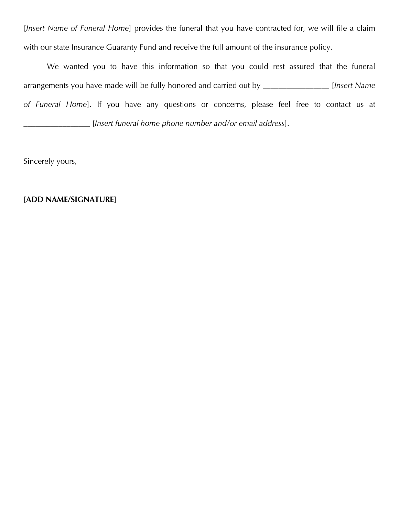[*Insert Name of Funeral Home*] provides the funeral that you have contracted for, we will file a claim with our state Insurance Guaranty Fund and receive the full amount of the insurance policy.

We wanted you to have this information so that you could rest assured that the funeral arrangements you have made will be fully honored and carried out by \_\_\_\_\_\_\_\_\_\_\_\_\_\_\_\_\_ [*Insert Name of Funeral Home*]. If you have any questions or concerns, please feel free to contact us at \_\_\_\_\_\_\_\_\_\_\_\_\_\_\_\_\_ [*Insert funeral home phone number and/or email address*].

Sincerely yours,

## **[ADD NAME/SIGNATURE]**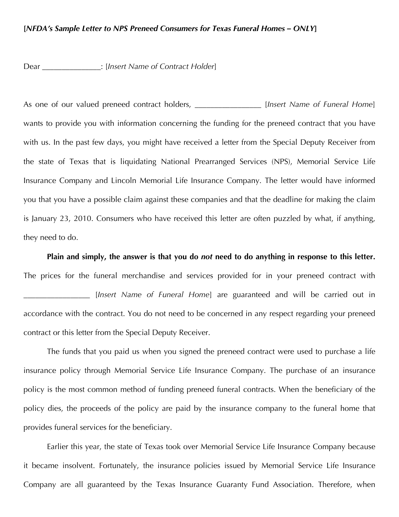### **[***NFDA's Sample Letter to NPS Preneed Consumers for Texas Funeral Homes – ONLY***]**

Dear \_\_\_\_\_\_\_\_\_\_\_\_\_\_\_: [*Insert Name of Contract Holder*]

As one of our valued preneed contract holders, \_\_\_\_\_\_\_\_\_\_\_\_\_\_\_\_\_ [*Insert Name of Funeral Home*] wants to provide you with information concerning the funding for the preneed contract that you have with us. In the past few days, you might have received a letter from the Special Deputy Receiver from the state of Texas that is liquidating National Prearranged Services (NPS), Memorial Service Life Insurance Company and Lincoln Memorial Life Insurance Company. The letter would have informed you that you have a possible claim against these companies and that the deadline for making the claim is January 23, 2010. Consumers who have received this letter are often puzzled by what, if anything, they need to do.

**Plain and simply, the answer is that you do** *not* **need to do anything in response to this letter.**  The prices for the funeral merchandise and services provided for in your preneed contract with \_\_\_\_\_\_\_\_\_\_\_\_\_\_\_\_\_ [*Insert Name of Funeral Home*] are guaranteed and will be carried out in accordance with the contract. You do not need to be concerned in any respect regarding your preneed contract or this letter from the Special Deputy Receiver.

The funds that you paid us when you signed the preneed contract were used to purchase a life insurance policy through Memorial Service Life Insurance Company. The purchase of an insurance policy is the most common method of funding preneed funeral contracts. When the beneficiary of the policy dies, the proceeds of the policy are paid by the insurance company to the funeral home that provides funeral services for the beneficiary.

Earlier this year, the state of Texas took over Memorial Service Life Insurance Company because it became insolvent. Fortunately, the insurance policies issued by Memorial Service Life Insurance Company are all guaranteed by the Texas Insurance Guaranty Fund Association. Therefore, when